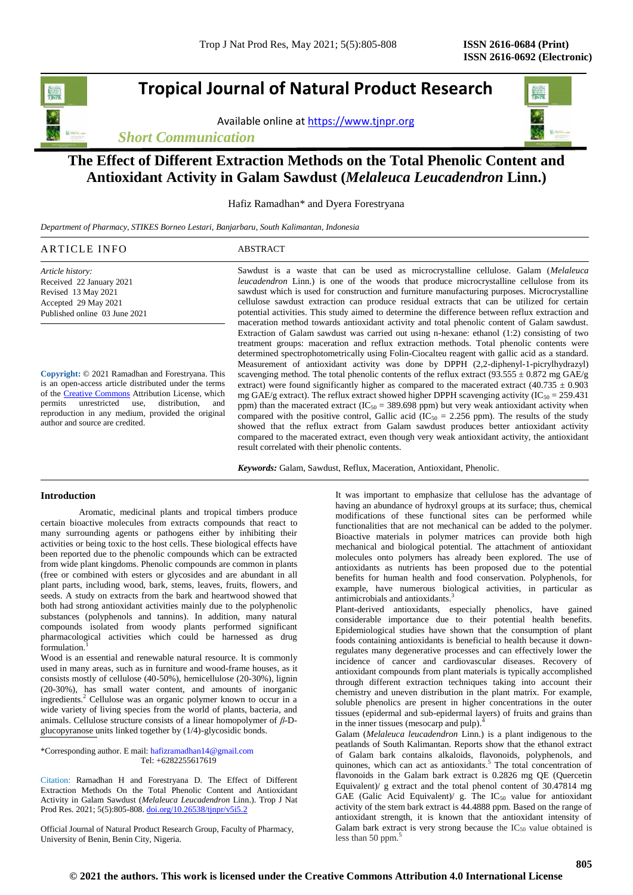# **Tropical Journal of Natural Product Research**

Available online a[t https://www.tjnpr.org](https://www.tjnpr.org/)

*Short Communication*



## **The Effect of Different Extraction Methods on the Total Phenolic Content and Antioxidant Activity in Galam Sawdust (***Melaleuca Leucadendron* **Linn.)**

Hafiz Ramadhan\* and Dyera Forestryana

*Department of Pharmacy, STIKES Borneo Lestari, Banjarbaru, South Kalimantan, Indonesia*

| ARTICLE INFO             | ABSTRACT                                                                                        |
|--------------------------|-------------------------------------------------------------------------------------------------|
| Article history:         | Sawdust is a waste that can be used as microcrystalline cellulose. Galam (Melaleuca             |
| Received 22 January 2021 | <i>leucadendron</i> Linn.) is one of the woods that produce microcrystalline cellulose from its |
| Revised 13 May 2021      | sawdust which is used for construction and furniture manufacturing purposes. Microcrystalline   |

**Copyright:** © 2021 Ramadhan and Forestryana. This is an open-access article distributed under the terms of th[e Creative Commons](https://creativecommons.org/licenses/by/4.0/) Attribution License, which permits unrestricted use, distribution, and reproduction in any medium, provided the original author and source are credited.

sawdust which is used for construction and furniture manufacturing purposes. Microcrystalline cellulose sawdust extraction can produce residual extracts that can be utilized for certain potential activities. This study aimed to determine the difference between reflux extraction and maceration method towards antioxidant activity and total phenolic content of Galam sawdust. Extraction of Galam sawdust was carried out using n-hexane: ethanol (1:2) consisting of two treatment groups: maceration and reflux extraction methods. Total phenolic contents were determined spectrophotometrically using Folin-Ciocalteu reagent with gallic acid as a standard. Measurement of antioxidant activity was done by DPPH (2,2-diphenyl-1-picrylhydrazyl) scavenging method. The total phenolic contents of the reflux extract (93.555  $\pm$  0.872 mg GAE/g extract) were found significantly higher as compared to the macerated extract (40.735  $\pm$  0.903 mg GAE/g extract). The reflux extract showed higher DPPH scavenging activity (IC<sub>50</sub> = 259.431) ppm) than the macerated extract ( $IC_{50} = 389.698$  ppm) but very weak antioxidant activity when compared with the positive control, Gallic acid (IC<sub>50</sub> = 2.256 ppm). The results of the study showed that the reflux extract from Galam sawdust produces better antioxidant activity compared to the macerated extract, even though very weak antioxidant activity, the antioxidant result correlated with their phenolic contents.

*Keywords:* Galam, Sawdust, Reflux, Maceration, Antioxidant, Phenolic.

### **Introduction**

Accepted 29 May 2021 Published online 03 June 2021

Aromatic, medicinal plants and tropical timbers produce certain bioactive molecules from extracts compounds that react to many surrounding agents or pathogens either by inhibiting their activities or being toxic to the host cells. These biological effects have been reported due to the phenolic compounds which can be extracted from wide plant kingdoms. Phenolic compounds are common in plants (free or combined with esters or glycosides and are abundant in all plant parts, including wood, bark, stems, leaves, fruits, flowers, and seeds. A study on extracts from the bark and heartwood showed that both had strong antioxidant activities mainly due to the polyphenolic substances (polyphenols and tannins). In addition, many natural compounds isolated from woody plants performed significant pharmacological activities which could be harnessed as drug formulation.<sup>1</sup>

Wood is an essential and renewable natural resource. It is commonly used in many areas, such as in furniture and wood-frame houses, as it consists mostly of cellulose (40-50%), hemicellulose (20-30%), lignin (20-30%), has small water content, and amounts of inorganic ingredients.<sup>2</sup> Cellulose was an organic polymer known to occur in a wide variety of living species from the world of plants, bacteria, and animals. Cellulose structure consists of a linear homopolymer of *β*-Dglucopyranose units linked together by (1/4)-glycosidic bonds.

\*Corresponding author. E mail[: hafizramadhan14@gmail.com](mailto:hafizramadhan14@gmail.com) Tel: +6282255617619

Citation: Ramadhan H and Forestryana D. The Effect of Different Extraction Methods On the Total Phenolic Content and Antioxidant Activity in Galam Sawdust (*Melaleuca Leucadendron* Linn.). Trop J Nat Prod Res. 2021; 5(5):805-808. [doi.org/10.26538/tjnpr/v5i5.2](http://www.doi.org/10.26538/tjnpr/v1i4.5)

Official Journal of Natural Product Research Group, Faculty of Pharmacy, University of Benin, Benin City, Nigeria.

It was important to emphasize that cellulose has the advantage of having an abundance of hydroxyl groups at its surface; thus, chemical modifications of these functional sites can be performed while functionalities that are not mechanical can be added to the polymer. Bioactive materials in polymer matrices can provide both high mechanical and biological potential. The attachment of antioxidant molecules onto polymers has already been explored. The use of antioxidants as nutrients has been proposed due to the potential benefits for human health and food conservation. Polyphenols, for example, have numerous biological activities, in particular as antimicrobials and antioxidants.<sup>3</sup>

Plant-derived antioxidants, especially phenolics, have gained considerable importance due to their potential health benefits. Epidemiological studies have shown that the consumption of plant foods containing antioxidants is beneficial to health because it downregulates many degenerative processes and can effectively lower the incidence of cancer and cardiovascular diseases. Recovery of antioxidant compounds from plant materials is typically accomplished through different extraction techniques taking into account their chemistry and uneven distribution in the plant matrix. For example, soluble phenolics are present in higher concentrations in the outer tissues (epidermal and sub-epidermal layers) of fruits and grains than in the inner tissues (mesocarp and pulp).<sup>4</sup>

Galam (*Melaleuca leucadendron* Linn.) is a plant indigenous to the peatlands of South Kalimantan. Reports show that the ethanol extract of Galam bark contains alkaloids, flavonoids, polyphenols, and quinones, which can act as antioxidants.<sup>5</sup> The total concentration of flavonoids in the Galam bark extract is 0.2826 mg QE (Quercetin Equivalent)/ g extract and the total phenol content of 30.47814 mg GAE (Galic Acid Equivalent)/ g. The  $IC_{50}$  value for antioxidant activity of the stem bark extract is 44.4888 ppm. Based on the range of antioxidant strength, it is known that the antioxidant intensity of Galam bark extract is very strong because the  $IC_{50}$  value obtained is less than 50 ppm. 5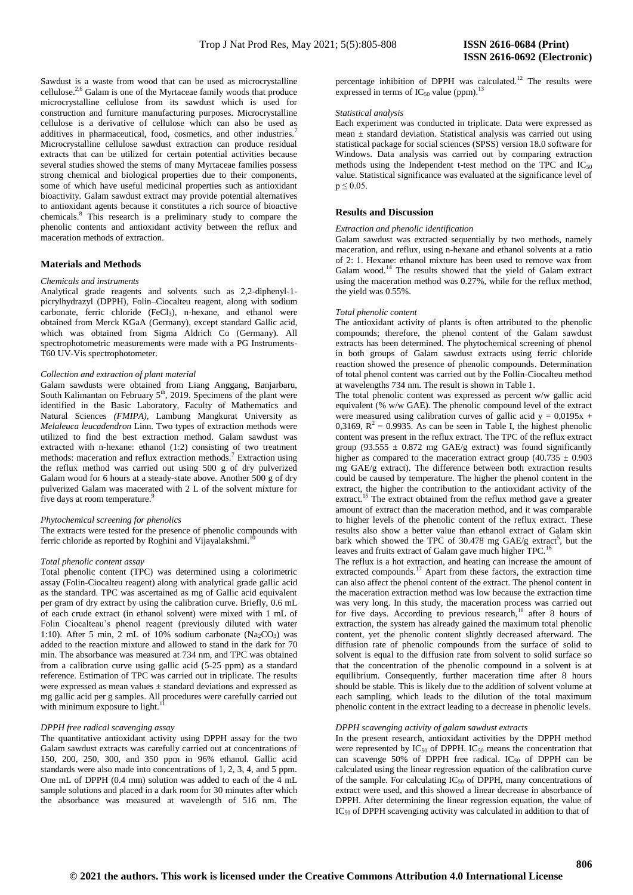Sawdust is a waste from wood that can be used as microcrystalline cellulose.2,6 Galam is one of the Myrtaceae family woods that produce microcrystalline cellulose from its sawdust which is used for construction and furniture manufacturing purposes. Microcrystalline cellulose is a derivative of cellulose which can also be used as additives in pharmaceutical, food, cosmetics, and other industries.<sup>7</sup> Microcrystalline cellulose sawdust extraction can produce residual extracts that can be utilized for certain potential activities because several studies showed the stems of many Myrtaceae families possess strong chemical and biological properties due to their components, some of which have useful medicinal properties such as antioxidant bioactivity. Galam sawdust extract may provide potential alternatives to antioxidant agents because it constitutes a rich source of bioactive chemicals.<sup>8</sup> This research is a preliminary study to compare the phenolic contents and antioxidant activity between the reflux and maceration methods of extraction.

## **Materials and Methods**

#### *Chemicals and instruments*

Analytical grade reagents and solvents such as 2,2-diphenyl-1 picrylhydrazyl (DPPH), Folin–Ciocalteu reagent, along with sodium carbonate, ferric chloride (FeCl<sub>3</sub>), n-hexane, and ethanol were obtained from Merck KGaA (Germany), except standard Gallic acid, which was obtained from Sigma Aldrich Co (Germany). All spectrophotometric measurements were made with a PG Instruments-T60 UV-Vis spectrophotometer.

#### *Collection and extraction of plant material*

Galam sawdusts were obtained from Liang Anggang, Banjarbaru, South Kalimantan on February  $5<sup>th</sup>$ , 2019. Specimens of the plant were identified in the Basic Laboratory, Faculty of Mathematics and Natural Sciences *(FMIPA),* Lambung Mangkurat University as *Melaleuca leucadendron* Linn. Two types of extraction methods were utilized to find the best extraction method. Galam sawdust was extracted with n-hexane: ethanol (1:2) consisting of two treatment methods: maceration and reflux extraction methods.<sup>7</sup> Extraction using the reflux method was carried out using 500 g of dry pulverized Galam wood for 6 hours at a steady-state above. Another 500 g of dry pulverized Galam was macerated with 2 L of the solvent mixture for five days at room temperature.<sup>9</sup>

#### *Phytochemical screening for phenolics*

The extracts were tested for the presence of phenolic compounds with ferric chloride as reported by Roghini and Vijayalakshmi.<sup>10</sup>

#### *Total phenolic content assay*

Total phenolic content (TPC) was determined using a colorimetric assay (Folin-Ciocalteu reagent) along with analytical grade gallic acid as the standard. TPC was ascertained as mg of Gallic acid equivalent per gram of dry extract by using the calibration curve. Briefly, 0.6 mL of each crude extract (in ethanol solvent) were mixed with 1 mL of Folin Ciocalteau's phenol reagent (previously diluted with water 1:10). After 5 min, 2 mL of 10% sodium carbonate  $(Na_2CO_3)$  was added to the reaction mixture and allowed to stand in the dark for 70 min. The absorbance was measured at 734 nm, and TPC was obtained from a calibration curve using gallic acid (5-25 ppm) as a standard reference. Estimation of TPC was carried out in triplicate. The results were expressed as mean values  $\pm$  standard deviations and expressed as mg gallic acid per g samples. All procedures were carefully carried out with minimum exposure to light.<sup>11</sup>

## *DPPH free radical scavenging assay*

The quantitative antioxidant activity using DPPH assay for the two Galam sawdust extracts was carefully carried out at concentrations of 150, 200, 250, 300, and 350 ppm in 96% ethanol. Gallic acid standards were also made into concentrations of 1, 2, 3, 4, and 5 ppm. One mL of DPPH (0.4 mm) solution was added to each of the 4 mL sample solutions and placed in a dark room for 30 minutes after which the absorbance was measured at wavelength of 516 nm. The

percentage inhibition of DPPH was calculated.<sup>12</sup> The results were expressed in terms of  $IC_{50}$  value (ppm).<sup>13</sup>

#### *Statistical analysis*

Each experiment was conducted in triplicate. Data were expressed as mean ± standard deviation. Statistical analysis was carried out using statistical package for social sciences (SPSS) version 18.0 software for Windows. Data analysis was carried out by comparing extraction methods using the Independent t-test method on the TPC and IC<sub>50</sub> value. Statistical significance was evaluated at the significance level of  $p \le 0.05$ .

### **Results and Discussion**

#### *Extraction and phenolic identification*

Galam sawdust was extracted sequentially by two methods, namely maceration, and reflux, using n-hexane and ethanol solvents at a ratio of 2: 1. Hexane: ethanol mixture has been used to remove wax from Galam wood.<sup>14</sup> The results showed that the yield of Galam extract using the maceration method was 0.27%, while for the reflux method, the yield was 0.55%.

#### *Total phenolic content*

The antioxidant activity of plants is often attributed to the phenolic compounds; therefore, the phenol content of the Galam sawdust extracts has been determined. The phytochemical screening of phenol in both groups of Galam sawdust extracts using ferric chloride reaction showed the presence of phenolic compounds. Determination of total phenol content was carried out by the Follin-Ciocalteu method at wavelengths 734 nm. The result is shown in Table 1.

The total phenolic content was expressed as percent w/w gallic acid equivalent (% w/w GAE). The phenolic compound level of the extract were measured using calibration curves of gallic acid  $y = 0.0195x +$ 0,3169,  $R^2 = 0.9935$ . As can be seen in Table I, the highest phenolic content was present in the reflux extract. The TPC of the reflux extract group (93.555  $\pm$  0.872 mg GAE/g extract) was found significantly higher as compared to the maceration extract group  $(40.735 \pm 0.903)$ mg GAE/g extract). The difference between both extraction results could be caused by temperature. The higher the phenol content in the extract, the higher the contribution to the antioxidant activity of the extract.<sup>15</sup> The extract obtained from the reflux method gave a greater amount of extract than the maceration method, and it was comparable to higher levels of the phenolic content of the reflux extract. These results also show a better value than ethanol extract of Galam skin bark which showed the TPC of 30.478 mg  $GAE/g$  extract<sup>5</sup>, but the leaves and fruits extract of Galam gave much higher TPC.<sup>16</sup>

The reflux is a hot extraction, and heating can increase the amount of extracted compounds.<sup>17</sup> Apart from these factors, the extraction time can also affect the phenol content of the extract. The phenol content in the maceration extraction method was low because the extraction time was very long. In this study, the maceration process was carried out for five days. According to previous research,<sup>18</sup> after 8 hours of extraction, the system has already gained the maximum total phenolic content, yet the phenolic content slightly decreased afterward. The diffusion rate of phenolic compounds from the surface of solid to solvent is equal to the diffusion rate from solvent to solid surface so that the concentration of the phenolic compound in a solvent is at equilibrium. Consequently, further maceration time after 8 hours should be stable. This is likely due to the addition of solvent volume at each sampling, which leads to the dilution of the total maximum phenolic content in the extract leading to a decrease in phenolic levels.

## *DPPH scavenging activity of galam sawdust extracts*

In the present research, antioxidant activities by the DPPH method were represented by  $IC_{50}$  of DPPH.  $IC_{50}$  means the concentration that can scavenge 50% of DPPH free radical.  $IC_{50}$  of DPPH can be calculated using the linear regression equation of the calibration curve of the sample. For calculating  $IC_{50}$  of DPPH, many concentrations of extract were used, and this showed a linear decrease in absorbance of DPPH. After determining the linear regression equation, the value of IC<sup>50</sup> of DPPH scavenging activity was calculated in addition to that of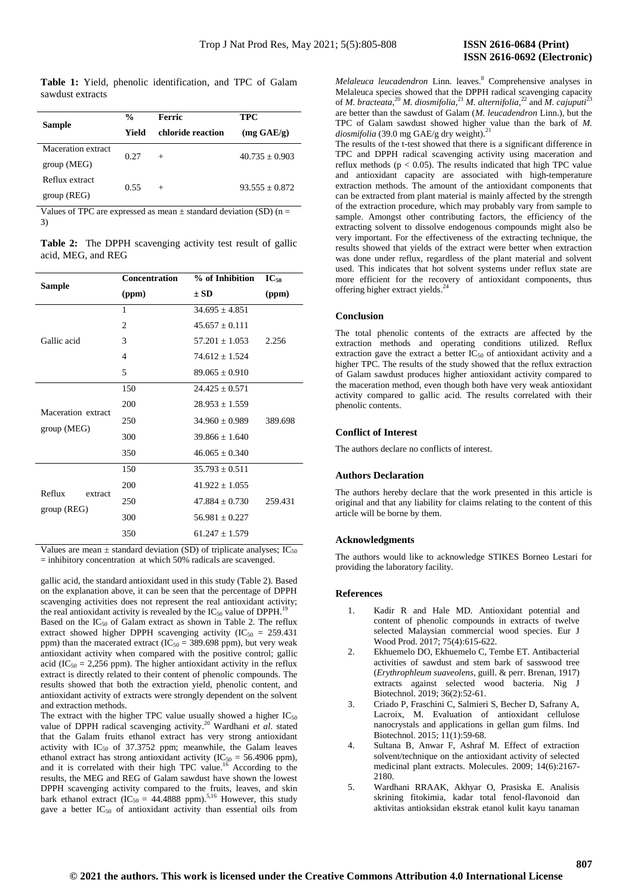**Table 1:** Yield, phenolic identification, and TPC of Galam sawdust extracts

|                    | $\frac{0}{0}$ | Ferric            | <b>TPC</b>           |
|--------------------|---------------|-------------------|----------------------|
| <b>Sample</b>      |               |                   |                      |
|                    | Yield         | chloride reaction | $(mg \text{ GAE/g})$ |
| Maceration extract | 0.27          |                   | $40.735 + 0.903$     |
| group(MEG)         |               | $^{+}$            |                      |
| Reflux extract     | 0.55          | $^{+}$            | $93.555 \pm 0.872$   |
| group (REG)        |               |                   |                      |

Values of TPC are expressed as mean  $\pm$  standard deviation (SD) (n = 3)

**Table 2:** The DPPH scavenging activity test result of gallic acid, MEG, and REG

| <b>Sample</b>      | <b>Concentration</b> | % of Inhibition    | $IC_{50}$ |
|--------------------|----------------------|--------------------|-----------|
|                    | (ppm)                | $\pm$ SD           | (ppm)     |
|                    | 1                    | $34.695 \pm 4.851$ |           |
|                    | $\overline{c}$       | $45.657 + 0.111$   |           |
| Gallic acid        | 3                    | $57.201 \pm 1.053$ | 2.256     |
|                    | 4                    | $74.612 + 1.524$   |           |
|                    | 5                    | $89.065 + 0.910$   |           |
|                    | 150                  | $24.425 \pm 0.571$ |           |
| Maceration extract | 200                  | $28.953 \pm 1.559$ |           |
|                    | 250                  | $34.960 \pm 0.989$ | 389.698   |
| group(MEG)         | 300                  | $39.866 + 1.640$   |           |
|                    | 350                  | $46.065 + 0.340$   |           |
|                    | 150                  | $35.793 \pm 0.511$ |           |
| Reflux             | 200                  | $41.922 + 1.055$   |           |
| extract            | 250                  | $47.884 \pm 0.730$ | 259.431   |
| group (REG)        | 300                  | $56.981 + 0.227$   |           |
|                    | 350                  | $61.247 \pm 1.579$ |           |

Values are mean  $\pm$  standard deviation (SD) of triplicate analyses; IC<sub>50</sub> = inhibitory concentration at which 50% radicals are scavenged.

gallic acid, the standard antioxidant used in this study (Table 2). Based on the explanation above, it can be seen that the percentage of DPPH scavenging activities does not represent the real antioxidant activity; the real antioxidant activity is revealed by the  $IC_{50}$  value of DPPH.<sup>19</sup> Based on the  $IC_{50}$  of Galam extract as shown in Table 2. The reflux extract showed higher DPPH scavenging activity (IC<sub>50</sub> = 259.431) ppm) than the macerated extract ( $IC_{50} = 389.698$  ppm), but very weak antioxidant activity when compared with the positive control; gallic acid (IC<sub>50</sub> = 2,256 ppm). The higher antioxidant activity in the reflux extract is directly related to their content of phenolic compounds. The results showed that both the extraction yield, phenolic content, and antioxidant activity of extracts were strongly dependent on the solvent and extraction methods.

The extract with the higher TPC value usually showed a higher  $IC_{50}$ value of DPPH radical scavenging activity. <sup>20</sup> Wardhani *et al*. stated that the Galam fruits ethanol extract has very strong antioxidant activity with  $IC_{50}$  of 37.3752 ppm; meanwhile, the Galam leaves ethanol extract has strong antioxidant activity ( $IC_{50} = 56.4906$  ppm), and it is correlated with their high TPC value.<sup>16</sup> According to the results, the MEG and REG of Galam sawdust have shown the lowest DPPH scavenging activity compared to the fruits, leaves, and skin bark ethanol extract  $(IC_{50} = 44.4888$  ppm).<sup>5,16</sup> However, this study gave a better  $IC_{50}$  of antioxidant activity than essential oils from

*Melaleuca leucadendron* Linn. leaves.<sup>8</sup> Comprehensive analyses in Melaleuca species showed that the DPPH radical scavenging capacity of *M. bracteata*, <sup>20</sup> *M. diosmifolia*, <sup>21</sup> *M. alternifolia*, <sup>22</sup> and *M. cajuputi*<sup>23</sup> are better than the sawdust of Galam (*M. leucadendron* Linn.), but the TPC of Galam sawdust showed higher value than the bark of *M. diosmifolia* (39.0 mg GAE/g dry weight).<sup>21</sup>

The results of the t-test showed that there is a significant difference in TPC and DPPH radical scavenging activity using maceration and reflux methods ( $p < 0.05$ ). The results indicated that high TPC value and antioxidant capacity are associated with high-temperature extraction methods. The amount of the antioxidant components that can be extracted from plant material is mainly affected by the strength of the extraction procedure, which may probably vary from sample to sample. Amongst other contributing factors, the efficiency of the extracting solvent to dissolve endogenous compounds might also be very important. For the effectiveness of the extracting technique, the results showed that yields of the extract were better when extraction was done under reflux, regardless of the plant material and solvent used. This indicates that hot solvent systems under reflux state are more efficient for the recovery of antioxidant components, thus offering higher extract yields. 24

#### **Conclusion**

The total phenolic contents of the extracts are affected by the extraction methods and operating conditions utilized. Reflux extraction gave the extract a better  $IC_{50}$  of antioxidant activity and a higher TPC. The results of the study showed that the reflux extraction of Galam sawdust produces higher antioxidant activity compared to the maceration method, even though both have very weak antioxidant activity compared to gallic acid. The results correlated with their phenolic contents.

## **Conflict of Interest**

The authors declare no conflicts of interest.

## **Authors Declaration**

The authors hereby declare that the work presented in this article is original and that any liability for claims relating to the content of this article will be borne by them.

## **Acknowledgments**

The authors would like to acknowledge STIKES Borneo Lestari for providing the laboratory facility.

#### **References**

- 1. Kadir R and Hale MD. Antioxidant potential and content of phenolic compounds in extracts of twelve selected Malaysian commercial wood species. Eur J Wood Prod. 2017; 75(4):615-622.
- 2. Ekhuemelo DO, Ekhuemelo C, Tembe ET. Antibacterial activities of sawdust and stem bark of sasswood tree (*Erythrophleum suaveolens*, guill. & perr. Brenan, 1917) extracts against selected wood bacteria. Nig J Biotechnol. 2019; 36(2):52-61.
- 3. Criado P, Fraschini C, Salmieri S, Becher D, Safrany A, Lacroix, M. Evaluation of antioxidant cellulose nanocrystals and applications in gellan gum films. Ind Biotechnol. 2015; 11(1):59-68.
- 4. Sultana B, Anwar F, Ashraf M. Effect of extraction solvent/technique on the antioxidant activity of selected medicinal plant extracts. Molecules. 2009; 14(6):2167- 2180
- 5. Wardhani RRAAK, Akhyar O, Prasiska E. Analisis skrining fitokimia, kadar total fenol-flavonoid dan aktivitas antioksidan ekstrak etanol kulit kayu tanaman